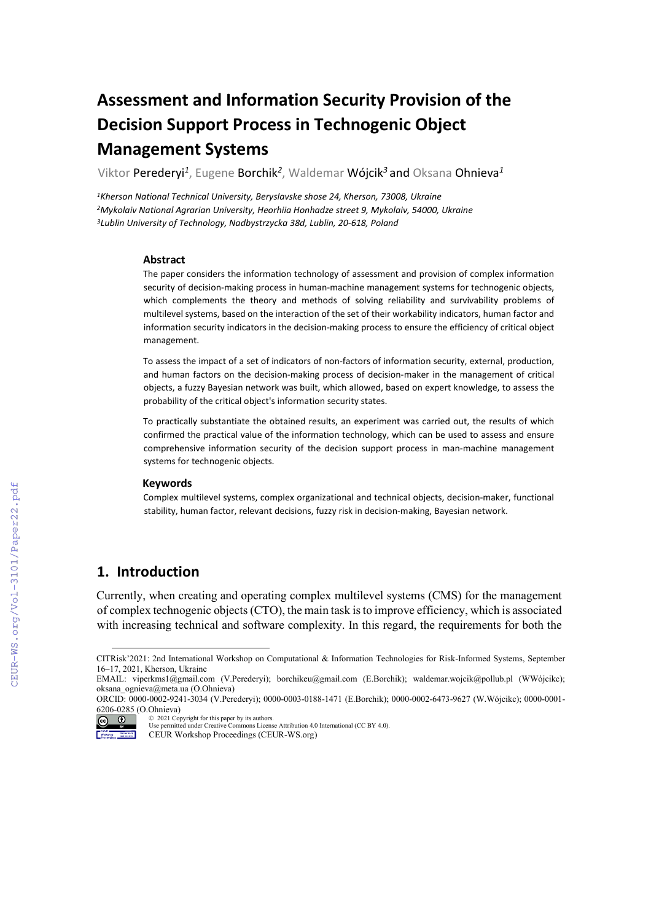# **Assessment and Information Security Provision of the Decision Support Process in Technogenic Object Management Systems**

Viktor Perederyi*<sup>1</sup>*, Eugene Borchik*<sup>2</sup>*, Waldemar Wójcik*<sup>3</sup>* аnd Oksana Ohnieva*<sup>1</sup>*

*1Kherson National Technical University, Beryslavske shose 24, Kherson, 73008, Ukraine 2Mykolaiv National Agrarian University, Heorhiia Honhadze street 9, Mykolaiv, 54000, Ukraine 3Lublin University of Technology, Nadbystrzycka 38d, Lublin, 20-618, Poland*

#### **Abstract**

The paper considers the information technology of assessment and provision of complex information security of decision-making process in human-machine management systems for technogenic objects, which complements the theory and methods of solving reliability and survivability problems of multilevel systems, based on the interaction of the set of their workability indicators, human factor and information security indicators in the decision-making process to ensure the efficiency of critical object management.

To assess the impact of a set of indicators of non-factors of information security, external, production, and human factors on the decision-making process of decision-maker in the management of critical objects, a fuzzy Bayesian network was built, which allowed, based on expert knowledge, to assess the probability of the critical object's information security states.

To practically substantiate the obtained results, an experiment was carried out, the results of which confirmed the practical value of the information technology, which can be used to assess and ensure comprehensive information security of the decision support process in man-machine management systems for technogenic objects.

#### **Keywords**

Complex multilevel systems, complex organizational and technical objects, decision-maker, functional stability, human factor, relevant decisions, fuzzy risk in decision-making, Bayesian network.

# **1. Introduction**

Currently, when creating and operating complex multilevel systems (CMS) for the management of complex technogenic objects (CTO), the main task is to improve efficiency, which is associated with increasing technical and software complexity. In this regard, the requirements for both the

<span id="page-0-0"></span>CITRisk'2021: 2nd International Workshop on Computational & Information Technologies for Risk-Informed Systems, September 16–17, 2021, Kherson, Ukraine

EMAIL: viperkms1@gmail.com (V.Perederyi); borchikeu@gmail.com (E.Borchik); [waldemar.wojcik@pollub.pl](https://webmail2.meta.ua/compose.phpwaldemar.wojcik@pollub.pl) (WWójcikc); oksana\_ognieva@meta.ua (O.Ohnieva)

ORCID: 0000-0002-9241-3034 (V.Perederyi); 0000-0003-0188-1471 (E.Borchik); 0000-0002-6473-9627 (W.Wójcikc); 0000-0001- 6206-0285 (O.Ohnieva)

<sup>©</sup> 2021 Copyright for this paper by its authors. 

Use permitted under Creative Commons License Attribution 4.0 International (CC BY 4.0). Molanderer CEUR Workshop Proceedings (CEUR-WS.org)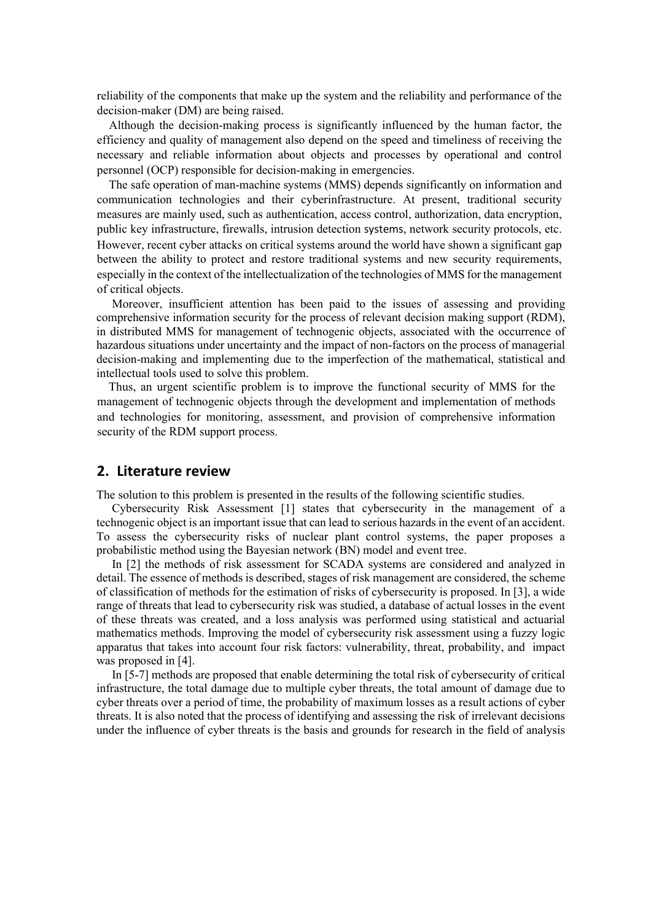reliability of the components that make up the system and the reliability and performance of the decision-maker (DM) are being raised.

Although the decision-making process is significantly influenced by the human factor, the efficiency and quality of management also depend on the speed and timeliness of receiving the necessary and reliable information about objects and processes by operational and control personnel (OCP) responsible for decision-making in emergencies.

The safe operation of man-machine systems (MMS) depends significantly on information and communication technologies and their cyberinfrastructure. At present, traditional security measures are mainly used, such as authentication, access control, authorization, data encryption, public key infrastructure, firewalls, intrusion detection systems, network security protocols, etc. However, recent cyber attacks on critical systems around the world have shown a significant gap between the ability to protect and restore traditional systems and new security requirements, especially in the context of the intellectualization of the technologies of MMS for the management of critical objects.

Moreover, insufficient attention has been paid to the issues of assessing and providing comprehensive information security for the process of relevant decision making support (RDM), in distributed MMS for management of technogenic objects, associated with the occurrence of hazardous situations under uncertainty and the impact of non-factors on the process of managerial decision-making and implementing due to the imperfection of the mathematical, statistical and intellectual tools used to solve this problem.

Thus, an urgent scientific problem is to improve the functional security of MMS for the management of technogenic objects through the development and implementation of methods and technologies for monitoring, assessment, and provision of comprehensive information security of the RDM support process.

# **2. Literature review**

The solution to this problem is presented in the results of the following scientific studies.

Cybersecurity Risk Assessment [1] states that cybersecurity in the management of a technogenic object is an important issue that can lead to serious hazards in the event of an accident. To assess the cybersecurity risks of nuclear plant control systems, the paper proposes a probabilistic method using the Bayesian network (BN) model and event tree.

In [2] the methods of risk assessment for SCADA systems are considered and analyzed in detail. The essence of methods is described, stages of risk management are considered, the scheme of classification of methods for the estimation of risks of cybersecurity is proposed. In [3], a wide range of threats that lead to cybersecurity risk was studied, a database of actual losses in the event of these threats was created, and a loss analysis was performed using statistical and actuarial mathematics methods. Improving the model of cybersecurity risk assessment using a fuzzy logic apparatus that takes into account four risk factors: vulnerability, threat, probability, and impact was proposed in [4].

In [5-7] methods are proposed that enable determining the total risk of cybersecurity of critical infrastructure, the total damage due to multiple cyber threats, the total amount of damage due to cyber threats over a period of time, the probability of maximum losses as a result actions of cyber threats. It is also noted that the process of identifying and assessing the risk of irrelevant decisions under the influence of cyber threats is the basis and grounds for research in the field of analysis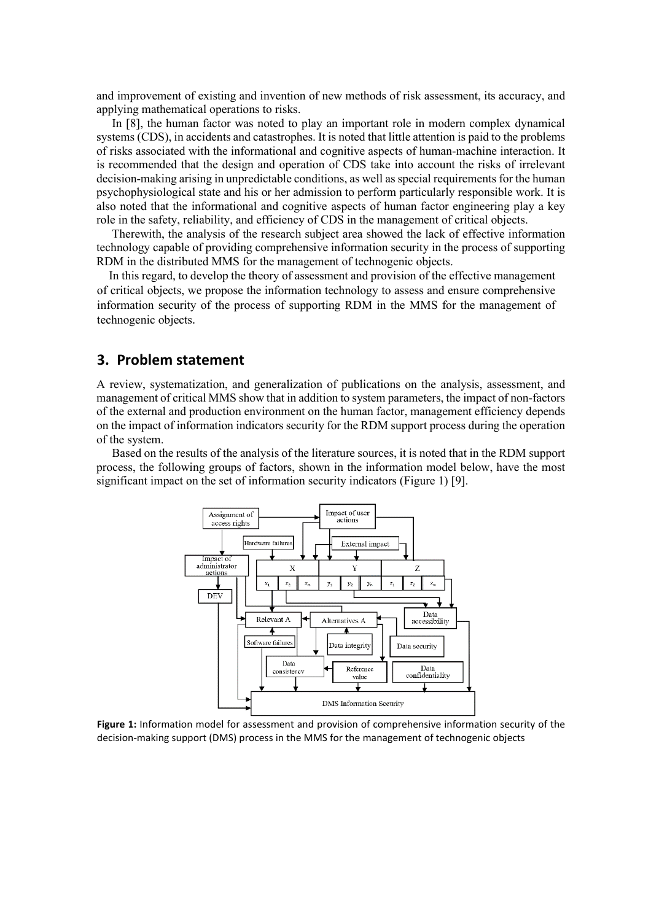and improvement of existing and invention of new methods of risk assessment, its accuracy, and applying mathematical operations to risks.

In [8], the human factor was noted to play an important role in modern complex dynamical systems (CDS), in accidents and catastrophes. It is noted that little attention is paid to the problems of risks associated with the informational and cognitive aspects of human-machine interaction. It is recommended that the design and operation of CDS take into account the risks of irrelevant decision-making arising in unpredictable conditions, as well as special requirements for the human psychophysiological state and his or her admission to perform particularly responsible work. It is also noted that the informational and cognitive aspects of human factor engineering play a key role in the safety, reliability, and efficiency of CDS in the management of critical objects.

Therewith, the analysis of the research subject area showed the lack of effective information technology capable of providing comprehensive information security in the process of supporting RDM in the distributed MMS for the management of technogenic objects.

In this regard, to develop the theory of assessment and provision of the effective management of critical objects, we propose the information technology to assess and ensure comprehensive information security of the process of supporting RDM in the MMS for the management of technogenic objects.

## **3. Problem statement**

A review, systematization, and generalization of publications on the analysis, assessment, and management of critical MMS show that in addition to system parameters, the impact of non-factors of the external and production environment on the human factor, management efficiency depends on the impact of information indicators security for the RDM support process during the operation of the system.

Based on the results of the analysis of the literature sources, it is noted that in the RDM support process, the following groups of factors, shown in the information model below, have the most significant impact on the set of information security indicators (Figure 1) [9].



**Figure 1:** Information model for assessment and provision of comprehensive information security of the decision-making support (DMS) process in the MMS for the management of technogenic objects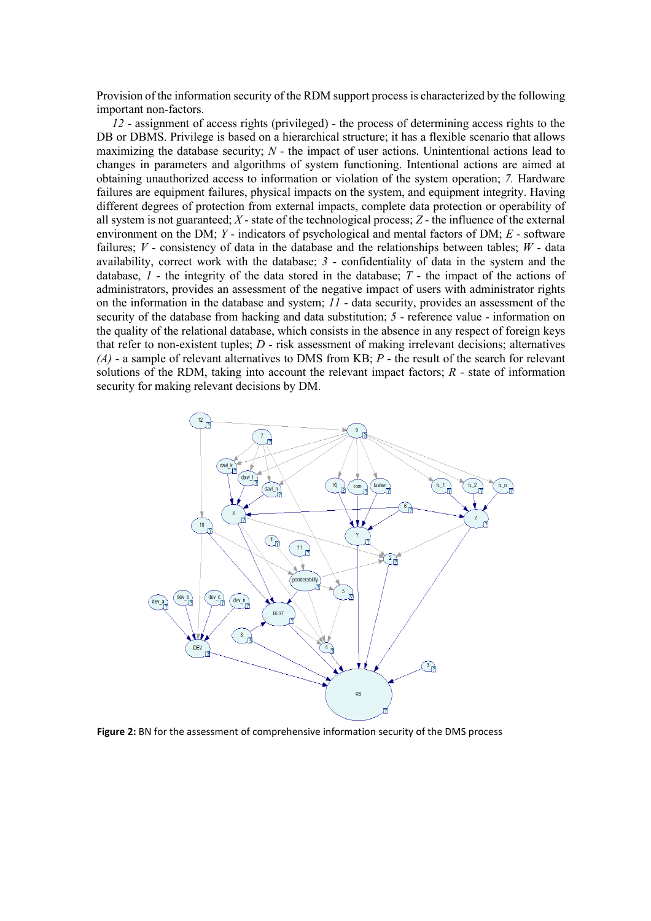Provision of the information security of the RDM support process is characterized by the following important non-factors.

*12* - assignment of access rights (privileged) - the process of determining access rights to the DB or DBMS. Privilege is based on a hierarchical structure; it has a flexible scenario that allows maximizing the database security; *N* - the impact of user actions. Unintentional actions lead to changes in parameters and algorithms of system functioning. Intentional actions are aimed at obtaining unauthorized access to information or violation of the system operation; *7.* Hardware failures are equipment failures, physical impacts on the system, and equipment integrity. Having different degrees of protection from external impacts, complete data protection or operability of all system is not guaranteed; *X* - state of the technological process; *Z* - the influence of the external environment on the DM; *Y* - indicators of psychological and mental factors of DM; *E* - software failures;  $V$  - consistency of data in the database and the relationships between tables;  $W$  - data availability, correct work with the database; *3* - confidentiality of data in the system and the database, *1* - the integrity of the data stored in the database; *T* - the impact of the actions of administrators, provides an assessment of the negative impact of users with administrator rights on the information in the database and system; *11* - data security, provides an assessment of the security of the database from hacking and data substitution; *5* - reference value - information on the quality of the relational database, which consists in the absence in any respect of foreign keys that refer to non-existent tuples; *D* - risk assessment of making irrelevant decisions; alternatives *(A)* - a sample of relevant alternatives to DMS from KB; *P* - the result of the search for relevant solutions of the RDM, taking into account the relevant impact factors; *R* - state of information security for making relevant decisions by DM.



**Figure 2:** BN for the assessment of comprehensive information security of the DMS process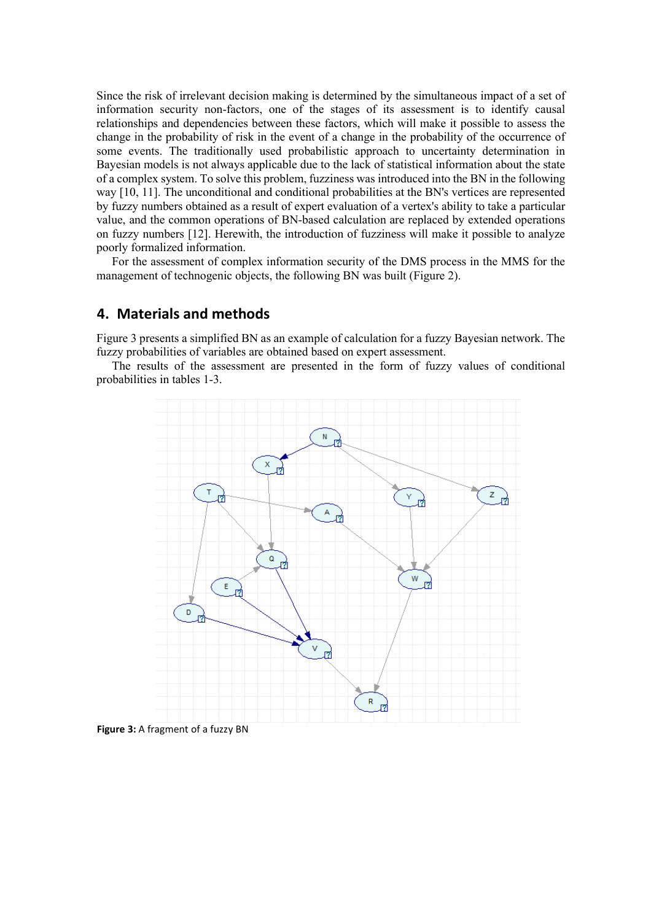Since the risk of irrelevant decision making is determined by the simultaneous impact of a set of information security non-factors, one of the stages of its assessment is to identify causal relationships and dependencies between these factors, which will make it possible to assess the change in the probability of risk in the event of a change in the probability of the occurrence of some events. The traditionally used probabilistic approach to uncertainty determination in Bayesian models is not always applicable due to the lack of statistical information about the state of a complex system. To solve this problem, fuzziness was introduced into the BN in the following way [10, 11]. The unconditional and conditional probabilities at the BN's vertices are represented by fuzzy numbers obtained as a result of expert evaluation of a vertex's ability to take a particular value, and the common operations of BN-based calculation are replaced by extended operations on fuzzy numbers [12]. Herewith, the introduction of fuzziness will make it possible to analyze poorly formalized information.

For the assessment of complex information security of the DMS process in the MMS for the management of technogenic objects, the following BN was built (Figure 2).

## **4. Materials and methods**

Figure 3 presents a simplified BN as an example of calculation for a fuzzy Bayesian network. The fuzzy probabilities of variables are obtained based on expert assessment.

The results of the assessment are presented in the form of fuzzy values of conditional probabilities in tables 1-3.



**Figure 3:** A fragment of a fuzzy BN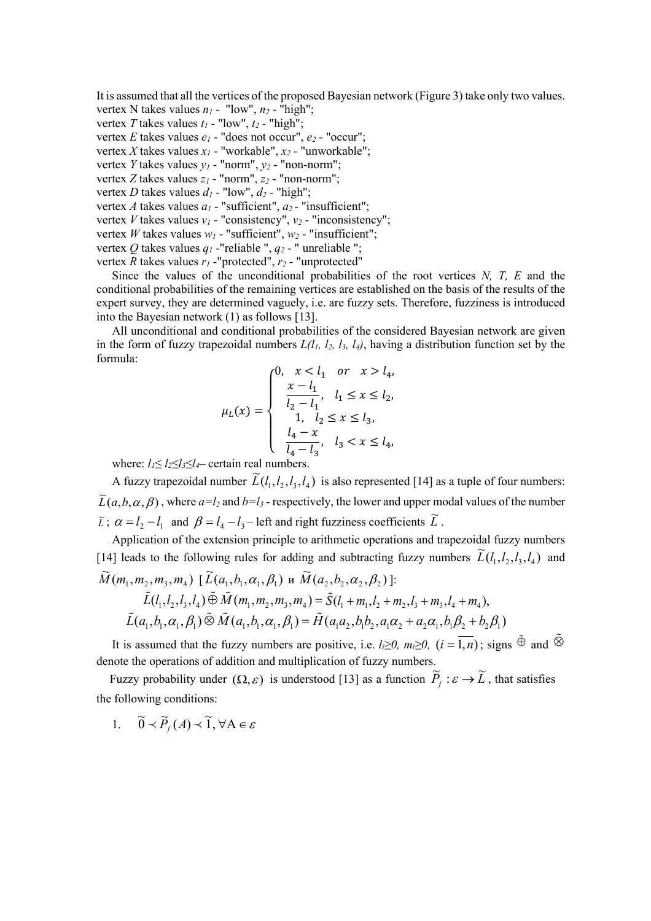It is assumed that all the vertices of the proposed Bayesian network (Figure 3) take only two values.

- vertex N takes values  $n_1$  "low",  $n_2$  "high"; vertex *T* takes values  $t_1$  - "low",  $t_2$  - "high";
- vertex *E* takes values  $e_1$  "does not occur",  $e_2$  "occur";
- vertex *X* takes values *x1* "workable", *x2* "unworkable";
- vertex *Y* takes values *y1* "norm", *y2* "non-norm";
- vertex *Z* takes values *z<sub>1</sub>* "norm", *z*<sub>2</sub> "non-norm";
- vertex *D* takes values  $d_1$  "low",  $d_2$  "high";
- vertex *A* takes values  $a_1$  "sufficient",  $a_2$  "insufficient";

vertex *V* takes values *v1* - "consistency", *v2* - "inconsistency";

vertex *W* takes values  $w_1$  - "sufficient",  $w_2$  - "insufficient";

vertex *Q* takes values *q1* -"reliable ", *q2* - " unreliable ";

vertex *R* takes values *r1* -"protected", *r2* - "unprotected"

Since the values of the unconditional probabilities of the root vertices *N, T, E* and the conditional probabilities of the remaining vertices are established on the basis of the results of the expert survey, they are determined vaguely, i.e. are fuzzy sets. Therefore, fuzziness is introduced into the Bayesian network (1) as follows [13].

All unconditional and conditional probabilities of the considered Bayesian network are given in the form of fuzzy trapezoidal numbers  $L(l_1, l_2, l_3, l_4)$ , having a distribution function set by the formula:

$$
\mu_L(x) = \begin{cases}\n0, & x < l_1 \text{ or } x > l_4, \\
\frac{x - l_1}{l_2 - l_1}, & l_1 \le x \le l_2, \\
1, & l_2 \le x \le l_3, \\
\frac{l_4 - x}{l_4 - l_3}, & l_3 < x \le l_4,\n\end{cases}
$$

where: *l1≤ l2≤l3≤l4*– certain real numbers.

A fuzzy trapezoidal number  $\widetilde{L}(l_1, l_2, l_3, l_4)$  is also represented [14] as a tuple of four numbers:  $\widetilde{L}(a,b,\alpha,\beta)$  , where  $a=l_2$  and  $b=l_3$  - respectively, the lower and upper modal values of the number  $\tilde{L}$ ;  $\alpha = l_2 - l_1$  and  $\beta = l_4 - l_3$  – left and right fuzziness coefficients  $\tilde{L}$ .

Application of the extension principle to arithmetic operations and trapezoidal fuzzy numbers [14] leads to the following rules for adding and subtracting fuzzy numbers  $\widetilde{L}(l_1, l_2, l_3, l_4)$  and  $\widetilde{M}(m_1, m_2, m_3, m_4)$  [ $\widetilde{L}(a_1, b_1, \alpha_1, \beta_1)$  и  $\widetilde{M}(a_2, b_2, \alpha_2, \beta_2)$ ]:

$$
\tilde{L}(l_1, l_2, l_3, l_4) \tilde{\oplus} \tilde{M}(m_1, m_2, m_3, m_4) = \tilde{S}(l_1 + m_1, l_2 + m_2, l_3 + m_3, l_4 + m_4),
$$
  

$$
\tilde{L}(a_1, b_1, \alpha_1, \beta_1) \tilde{\otimes} \tilde{M}(a_1, b_1, \alpha_1, \beta_1) = \tilde{H}(a_1 a_2, b_1 b_2, a_1 \alpha_2 + a_2 \alpha_1, b_1 \beta_2 + b_2 \beta_1)
$$

It is assumed that the fuzzy numbers are positive, i.e.  $l_i \ge 0$ *, m<sub>i</sub>* $\ge 0$ *, (i* =  $\overline{1,n}$ ); signs  $\tilde{\oplus}$  and  $\tilde{\otimes}$ denote the operations of addition and multiplication of fuzzy numbers.

Fuzzy probability under  $(\Omega, \varepsilon)$  is understood [13] as a function  $\widetilde{P}_f : \varepsilon \to \widetilde{L}$ , that satisfies the following conditions:

1.  $\widetilde{0} \prec \widetilde{P}_f(A) \prec \widetilde{1}, \forall A \in \mathcal{E}$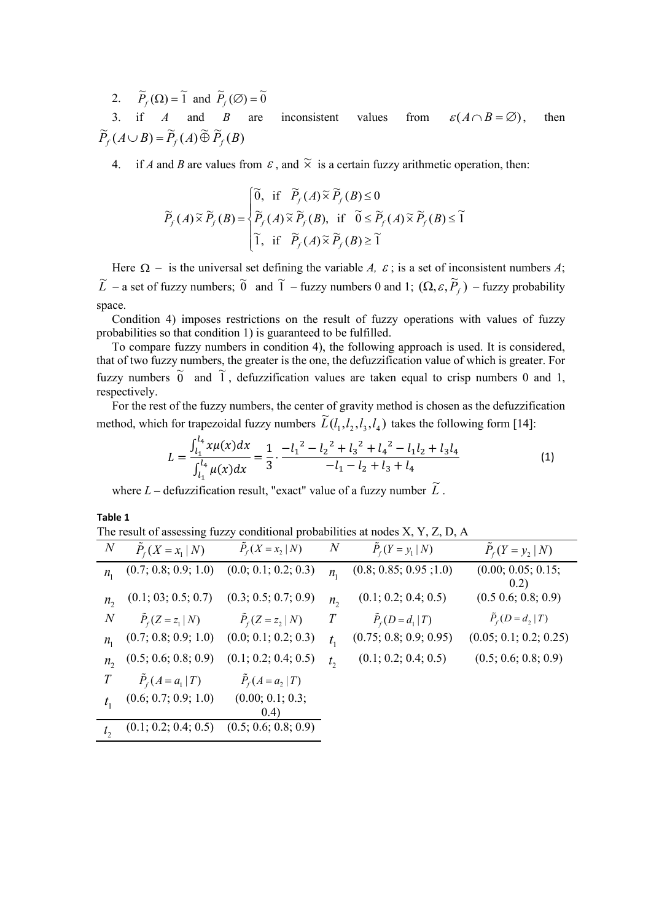2.  $\widetilde{P}_f(\Omega) = \widetilde{1}$  and  $\widetilde{P}_f(\emptyset) = \widetilde{0}$ 

3. if *A* and *B* are inconsistent values from  $\varepsilon (A \cap B = \emptyset)$ , then  $\widetilde{P}_f(A \cup B) = \widetilde{P}_f(A) \widetilde{\oplus} \widetilde{P}_f(B)$ 

4. if *A* and *B* are values from  $\varepsilon$ , and  $\tilde{\times}$  is a certain fuzzy arithmetic operation, then:

$$
\widetilde{P}_f(A) \widetilde{\times} \widetilde{P}_f(B) = \begin{cases} \widetilde{0}, \text{ if } \widetilde{P}_f(A) \widetilde{\times} \widetilde{P}_f(B) \le 0 \\ \widetilde{P}_f(A) \widetilde{\times} \widetilde{P}_f(B), \text{ if } \widetilde{0} \le \widetilde{P}_f(A) \widetilde{\times} \widetilde{P}_f(B) \le \widetilde{1} \\ \widetilde{1}, \text{ if } \widetilde{P}_f(A) \widetilde{\times} \widetilde{P}_f(B) \ge \widetilde{1} \end{cases}
$$

Here  $\Omega$  – is the universal set defining the variable *A*,  $\varepsilon$ ; is a set of inconsistent numbers *A*;  $\tilde{L}$  – a set of fuzzy numbers;  $\tilde{0}$  and  $\tilde{1}$  – fuzzy numbers 0 and 1;  $(\Omega, \varepsilon, \tilde{P}_f)$  – fuzzy probability space.

Condition 4) imposes restrictions on the result of fuzzy operations with values of fuzzy probabilities so that condition 1) is guaranteed to be fulfilled.

To compare fuzzy numbers in condition 4), the following approach is used. It is considered, that of two fuzzy numbers, the greater is the one, the defuzzification value of which is greater. For fuzzy numbers  $\tilde{0}$  and  $\tilde{1}$ , defuzzification values are taken equal to crisp numbers 0 and 1, respectively.

For the rest of the fuzzy numbers, the center of gravity method is chosen as the defuzzification method, which for trapezoidal fuzzy numbers  $\widetilde{L}(l_1, l_2, l_3, l_4)$  takes the following form [14]:

$$
L = \frac{\int_{l_1}^{l_4} x \mu(x) dx}{\int_{l_1}^{l_4} \mu(x) dx} = \frac{1}{3} \cdot \frac{-l_1^2 - l_2^2 + l_3^2 + l_4^2 - l_1l_2 + l_3l_4}{-l_1 - l_2 + l_3 + l_4} \tag{1}
$$

where  $L$  – defuzzification result, "exact" value of a fuzzy number  $\widetilde{L}$ .

**Table 1**

| The result of assessing fuzzy conditional probabilities at nodes X, Y, Z, D, A |  |  |  |
|--------------------------------------------------------------------------------|--|--|--|
|--------------------------------------------------------------------------------|--|--|--|

| $\boldsymbol{N}$ | $P_{f}(X = x_{1}   N)$ | $P_f(X = x_2   N)$        | $\overline{N}$ | $P_f(Y = y_1   N)$     | $P_{f}(Y = y_{2}   N)$     |
|------------------|------------------------|---------------------------|----------------|------------------------|----------------------------|
| $n_{1}$          | (0.7; 0.8; 0.9; 1.0)   | (0.0; 0.1; 0.2; 0.3)      | $n_{1}$        | (0.8; 0.85; 0.95; 1.0) | (0.00; 0.05; 0.15;<br>0.2) |
| $n_{2}$          | (0.1; 03; 0.5; 0.7)    | (0.3; 0.5; 0.7; 0.9)      | $n_{2}$        | (0.1; 0.2; 0.4; 0.5)   | (0.5 0.6; 0.8; 0.9)        |
| $\overline{N}$   | $P_{f}(Z=z_1 N)$       | $P_{f}(Z=z_2 N)$          | T              | $P_{f}(D=d_1   T)$     | $\tilde{P}_f(D = d_2   T)$ |
| $n_{1}$          | (0.7; 0.8; 0.9; 1.0)   | (0.0; 0.1; 0.2; 0.3)      | $t_{1}$        | (0.75; 0.8; 0.9; 0.95) | (0.05; 0.1; 0.2; 0.25)     |
| $n_{2}$          | (0.5; 0.6; 0.8; 0.9)   | (0.1; 0.2; 0.4; 0.5)      | t <sub>2</sub> | (0.1; 0.2; 0.4; 0.5)   | (0.5; 0.6; 0.8; 0.9)       |
| T                | $P_{f}(A = a_1   T)$   | $\ddot{P}_f(A = a_2   T)$ |                |                        |                            |
|                  | (0.6; 0.7; 0.9; 1.0)   | (0.00; 0.1; 0.3;<br>(0.4) |                |                        |                            |
|                  | (0.1; 0.2; 0.4; 0.5)   | (0.5; 0.6; 0.8; 0.9)      |                |                        |                            |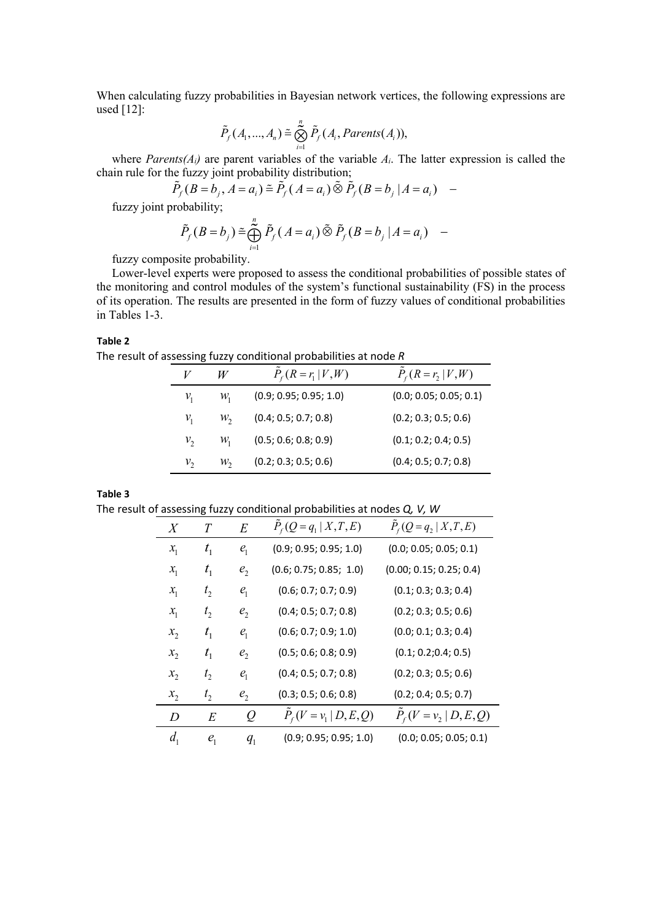When calculating fuzzy probabilities in Bayesian network vertices, the following expressions are used [12]:

$$
\tilde{P}_f(A_1,...,A_n) \cong \bigotimes_{i=1}^n \tilde{P}_f(A_i, Parents(A_i)),
$$

where *Parents(Ai)* are parent variables of the variable *Ai*. The latter expression is called the chain rule for the fuzzy joint probability distribution;

$$
\tilde{P}_f(B=b_j, A=a_i) \cong \tilde{P}_f(A=a_i) \tilde{\otimes} \tilde{P}_f(B=b_j | A=a_i) -
$$

fuzzy joint probability;

$$
\tilde{P}_f(B=b_j) \tilde{=} \bigoplus_{i=1}^n \tilde{P}_f(A=a_i) \tilde{\otimes} \tilde{P}_f(B=b_j | A=a_i) -
$$

fuzzy composite probability.

Lower-level experts were proposed to assess the conditional probabilities of possible states of the monitoring and control modules of the system's functional sustainability (FS) in the process of its operation. The results are presented in the form of fuzzy values of conditional probabilities in Tables 1-3.

## **Table 2**

The result of assessing fuzzy conditional probabilities at node *R*

|                 | W               | $P_{f}(R=r_{1} V,W)$   | $P_{f}(R=r_{2} V,W)$   |
|-----------------|-----------------|------------------------|------------------------|
| $\mathcal{V}_1$ | $\mathcal{W}_1$ | (0.9; 0.95; 0.95; 1.0) | (0.0; 0.05; 0.05; 0.1) |
| $\mathcal{V}_1$ | $W_2$           | (0.4; 0.5; 0.7; 0.8)   | (0.2; 0.3; 0.5; 0.6)   |
| $v_{2}$         | $\mathcal{W}_1$ | (0.5; 0.6; 0.8; 0.9)   | (0.1; 0.2; 0.4; 0.5)   |
| ν,              | $\mathcal{W}_2$ | (0.2; 0.3; 0.5; 0.6)   | (0.4; 0.5; 0.7; 0.8)   |

**Table 3**

The result of assessing fuzzy conditional probabilities at nodes *Q, V, W*

|         | $\overline{\mathbf{c}}$ |                |                          |                          |
|---------|-------------------------|----------------|--------------------------|--------------------------|
| X       | T                       | E              | $P_f(Q = q_1   X, T, E)$ | $P_f(Q = q_2   X, T, E)$ |
| $x_{1}$ | $t_{1}$                 | $e_{1}$        | (0.9; 0.95; 0.95; 1.0)   | (0.0; 0.05; 0.05; 0.1)   |
| $x_{1}$ | $t_{1}$                 | e <sub>2</sub> | (0.6; 0.75; 0.85; 1.0)   | (0.00; 0.15; 0.25; 0.4)  |
| $x_{1}$ | t <sub>2</sub>          | $e_{1}$        | (0.6; 0.7; 0.7; 0.9)     | (0.1; 0.3; 0.3; 0.4)     |
| $x_{1}$ | $t_{2}$                 | e <sub>2</sub> | (0.4; 0.5; 0.7; 0.8)     | (0.2; 0.3; 0.5; 0.6)     |
| $x_{2}$ | $t_{1}$                 | e <sub>1</sub> | (0.6; 0.7; 0.9; 1.0)     | (0.0; 0.1; 0.3; 0.4)     |
| $x_{2}$ | $t_{1}$                 | e <sub>2</sub> | (0.5; 0.6; 0.8; 0.9)     | (0.1; 0.2; 0.4; 0.5)     |
| $x_{2}$ | $t_{2}$                 | $e_{1}$        | (0.4; 0.5; 0.7; 0.8)     | (0.2; 0.3; 0.5; 0.6)     |
| $x_2$   | t <sub>2</sub>          | e <sub>2</sub> | (0.3; 0.5; 0.6; 0.8)     | (0.2; 0.4; 0.5; 0.7)     |
| D       | E                       | Q              | $P_f(V = v_1   D, E, Q)$ | $P_f(V = v_2   D, E, Q)$ |
| $d_{1}$ | $e_{1}$                 | $q_{1}$        | (0.9; 0.95; 0.95; 1.0)   | (0.0; 0.05; 0.05; 0.1)   |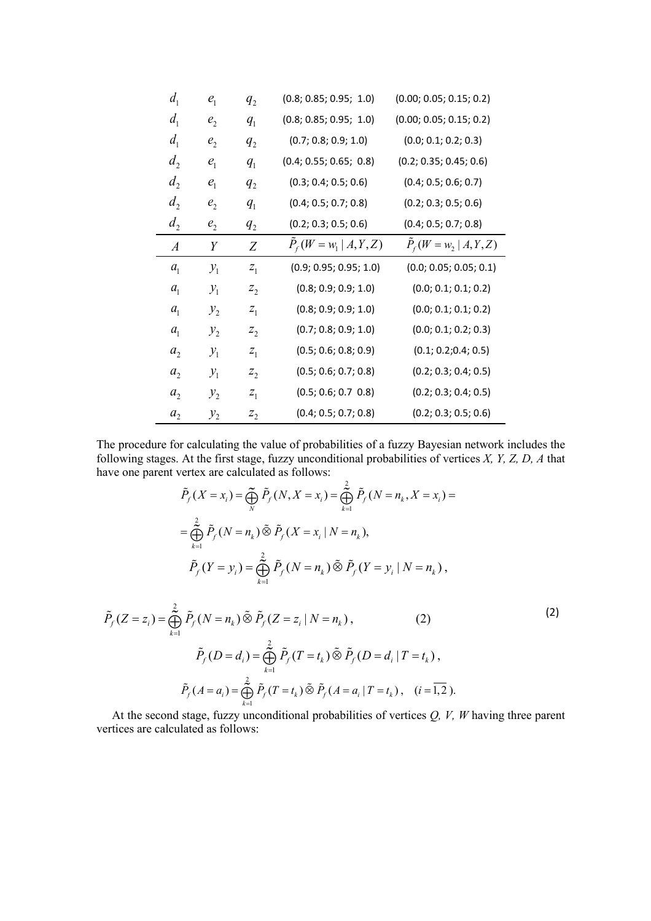| d <sub>1</sub>   | $e_{1}$         | $q_{2}$ | (0.8; 0.85; 0.95; 1.0)   | (0.00; 0.05; 0.15; 0.2)  |
|------------------|-----------------|---------|--------------------------|--------------------------|
| d <sub>1</sub>   | e <sub>2</sub>  | $q_{1}$ | (0.8; 0.85; 0.95; 1.0)   | (0.00; 0.05; 0.15; 0.2)  |
| d <sub>1</sub>   | e <sub>2</sub>  | $q_{2}$ | (0.7; 0.8; 0.9; 1.0)     | (0.0; 0.1; 0.2; 0.3)     |
| $d_2$            | $e_1$           | $q_{1}$ | (0.4; 0.55; 0.65; 0.8)   | (0.2; 0.35; 0.45; 0.6)   |
| d <sub>2</sub>   | $e_{1}$         | $q_{2}$ | (0.3; 0.4; 0.5; 0.6)     | (0.4; 0.5; 0.6; 0.7)     |
| $d_2$            | e <sub>2</sub>  | $q_{1}$ | (0.4; 0.5; 0.7; 0.8)     | (0.2; 0.3; 0.5; 0.6)     |
| $d_2$            | e <sub>2</sub>  | $q_{2}$ | (0.2; 0.3; 0.5; 0.6)     | (0.4; 0.5; 0.7; 0.8)     |
| $\boldsymbol{A}$ | Y               | Ζ       | $P_f(W = w_1   A, Y, Z)$ | $P_f(W = w_2   A, Y, Z)$ |
|                  |                 |         |                          |                          |
| $a_{1}$          | $\mathcal{Y}_1$ | $Z_1$   | (0.9; 0.95; 0.95; 1.0)   | (0.0; 0.05; 0.05; 0.1)   |
| a <sub>1</sub>   | $\mathcal{Y}_1$ | $z_{2}$ | (0.8; 0.9; 0.9; 1.0)     | (0.0; 0.1; 0.1; 0.2)     |
| $a_{1}$          | $y_2$           | $z_{1}$ | (0.8; 0.9; 0.9; 1.0)     | (0.0; 0.1; 0.1; 0.2)     |
| a <sub>1</sub>   | $y_{2}$         | $z_{2}$ | (0.7; 0.8; 0.9; 1.0)     | (0.0; 0.1; 0.2; 0.3)     |
| $a_{2}$          | $\mathcal{Y}_1$ | $Z_1$   | (0.5; 0.6; 0.8; 0.9)     | (0.1; 0.2; 0.4; 0.5)     |
| a <sub>2</sub>   | $\mathcal{Y}_1$ | $z_{2}$ | (0.5; 0.6; 0.7; 0.8)     | (0.2; 0.3; 0.4; 0.5)     |
| a <sub>2</sub>   | $y_2$           | $Z_1$   | (0.5; 0.6; 0.7; 0.8)     | (0.2; 0.3; 0.4; 0.5)     |

The procedure for calculating the value of probabilities of a fuzzy Bayesian network includes the following stages. At the first stage, fuzzy unconditional probabilities of vertices *X, Y, Z, D, A* that have one parent vertex are calculated as follows:

$$
\tilde{P}_f(X = x_i) = \bigoplus_{N}^{\infty} \tilde{P}_f(N, X = x_i) = \bigoplus_{k=1}^{2} \tilde{P}_f(N = n_k, X = x_i) =
$$
\n
$$
= \bigoplus_{k=1}^{2} \tilde{P}_f(N = n_k) \tilde{\otimes} \tilde{P}_f(X = x_i \mid N = n_k),
$$
\n
$$
\tilde{P}_f(Y = y_i) = \bigoplus_{k=1}^{2} \tilde{P}_f(N = n_k) \tilde{\otimes} \tilde{P}_f(Y = y_i \mid N = n_k),
$$
\n
$$
\tilde{P}_f(Z = z_i) = \bigoplus_{k=1}^{2} \tilde{P}_f(N = n_k) \tilde{\otimes} \tilde{P}_f(Z = z_i \mid N = n_k),
$$
\n
$$
\tilde{P}_f(D = d_i) = \bigoplus_{k=1}^{2} \tilde{P}_f(T = t_k) \tilde{\otimes} \tilde{P}_f(D = d_i \mid T = t_k),
$$
\n
$$
\tilde{P}_f(A = a_i) = \bigoplus_{k=1}^{2} \tilde{P}_f(T = t_k) \tilde{\otimes} \tilde{P}_f(A = a_i \mid T = t_k), \quad (i = \overline{1, 2}).
$$
\n(2)

At the second stage, fuzzy unconditional probabilities of vertices *Q, V, W* having three parent vertices are calculated as follows:

 $P_f(A = a_i) = \bigoplus P_f(T = t_k) \otimes P_f(A = a_i | T = t_k), \quad (i = 1,2).$ 

 $P_{f}(A = a_{i}) = \bigoplus P_{f}(T = t_{k}) \otimes P_{f}(A = a_{i} | T = t_{k}),$  (*i* 

1

*k*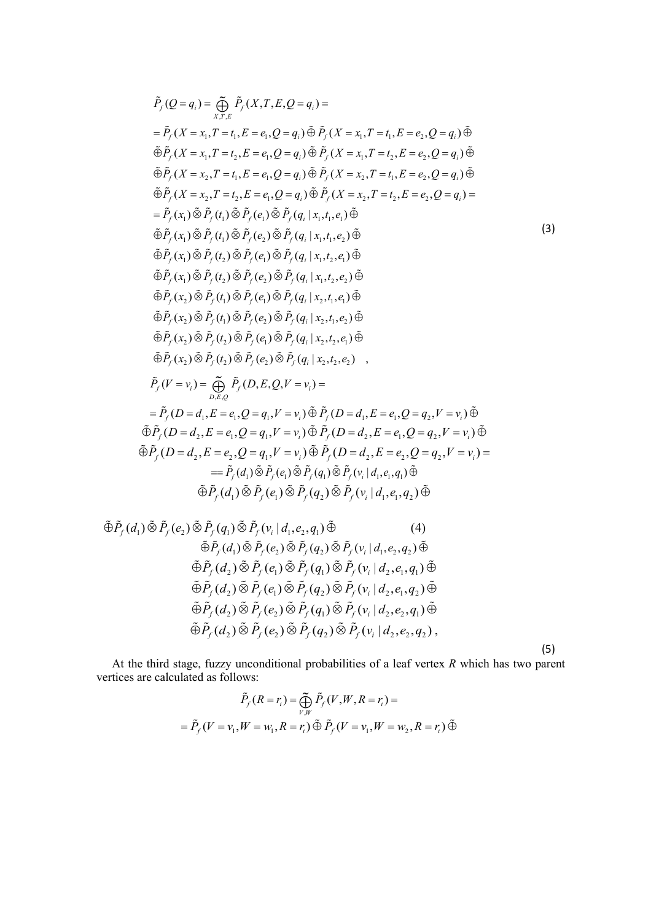$$
\tilde{P}_{f}(Q=q_{i}) = \bigoplus_{x,r,s} \tilde{P}_{f}(X,r,E,Q=q_{i}) =
$$
\n
$$
= \tilde{P}_{f}(X=x_{1},T=t_{1},E=e_{1},Q=q_{1}) \tilde{\oplus} \tilde{P}_{f}(X=x_{1},T=t_{1},E=e_{2},Q=q_{i}) \tilde{\oplus}
$$
\n
$$
\tilde{\oplus} \tilde{P}_{f}(X=x_{1},T=t_{2},E=e_{1},Q=q_{i}) \tilde{\oplus} \tilde{P}_{f}(X=x_{1},T=t_{2},E=e_{2},Q=q_{i}) \tilde{\oplus}
$$
\n
$$
\tilde{\oplus} \tilde{P}_{f}(X=x_{2},T=t_{1},E=e_{1},Q=q_{1}) \tilde{\oplus} \tilde{P}_{f}(X=x_{2},T=t_{1},E=e_{2},Q=q_{i}) \tilde{\oplus}
$$
\n
$$
\tilde{\oplus} \tilde{P}_{f}(X=x_{2},T=t_{2},E=e_{1},Q=q_{i}) \tilde{\oplus} \tilde{P}_{f}(X=x_{2},T=t_{2},E=e_{2},Q=q_{1}) =
$$
\n
$$
= \tilde{P}_{f}(x_{1}) \tilde{\otimes} \tilde{P}_{f}(t_{1}) \tilde{\otimes} \tilde{P}_{f}(e_{1}) \tilde{\otimes} \tilde{P}_{f}(q_{1}|x_{1},t_{1},e_{1}) \tilde{\oplus}
$$
\n
$$
\tilde{\oplus} \tilde{P}_{f}(x_{1}) \tilde{\otimes} \tilde{P}_{f}(t_{2}) \tilde{\otimes} \tilde{P}_{f}(q_{1}|x_{1},t_{1},e_{2}) \tilde{\oplus}
$$
\n
$$
\tilde{\oplus} \tilde{P}_{f}(x_{1}) \tilde{\otimes} \tilde{P}_{f}(t_{2}) \tilde{\otimes} \tilde{P}_{f}(q_{1}|x_{1},t_{1},e_{2}) \tilde{\oplus}
$$
\n
$$
\tilde{\oplus} \tilde{P}_{f}(x_{1}) \tilde{\otimes} \tilde{P}_{f}(t_{2}) \tilde{\otimes} \tilde{P}_{f}(q_{1}|x_{1},t_{1},e_{2}) \tilde{\oplus}
$$
\n
$$
\tilde{\oplus} \tilde{P}_{f}(x_{1}) \tilde{\otimes} \tilde{P
$$

$$
\begin{split}\n\tilde{\oplus}\tilde{P}_f(d_1) \tilde{\otimes} \tilde{P}_f(e_2) \tilde{\otimes} \tilde{P}_f(q_1) \tilde{\otimes} \tilde{P}_f(v_i | d_1, e_2, q_1) \tilde{\oplus} \\
&\qquad \qquad \leftarrow \tilde{\oplus} \tilde{P}_f(d_1) \tilde{\otimes} \tilde{P}_f(e_2) \tilde{\otimes} \tilde{P}_f(q_2) \tilde{\otimes} \tilde{P}_f(v_i | d_1, e_2, q_2) \tilde{\oplus} \\
&\qquad \qquad \leftarrow \tilde{\oplus} \tilde{P}_f(d_2) \tilde{\otimes} \tilde{P}_f(e_1) \tilde{\otimes} \tilde{P}_f(q_1) \tilde{\otimes} \tilde{P}_f(v_i | d_2, e_1, q_1) \tilde{\oplus} \\
&\qquad \qquad \leftarrow \tilde{\oplus} \tilde{P}_f(d_2) \tilde{\otimes} \tilde{P}_f(e_1) \tilde{\otimes} \tilde{P}_f(q_2) \tilde{\otimes} \tilde{P}_f(v_i | d_2, e_1, q_2) \tilde{\oplus} \\
&\qquad \qquad \qquad \tilde{\oplus} \tilde{P}_f(d_2) \tilde{\otimes} \tilde{P}_f(e_2) \tilde{\otimes} \tilde{P}_f(q_1) \tilde{\otimes} \tilde{P}_f(v_i | d_2, e_2, q_1) \tilde{\oplus} \\
&\qquad \qquad \qquad \tilde{\oplus} \tilde{P}_f(d_2) \tilde{\otimes} \tilde{P}_f(e_2) \tilde{\otimes} \tilde{P}_f(q_2) \tilde{\otimes} \tilde{P}_f(v_i | d_2, e_2, q_2),\n\end{split}
$$

(5)

At the third stage, fuzzy unconditional probabilities of a leaf vertex *R* which has two parent vertices are calculated as follows:

$$
\tilde{P}_f(R = r_i) = \bigoplus_{V,W} \tilde{P}_f(V, W, R = r_i) =
$$
\n
$$
= \tilde{P}_f(V = v_1, W = w_1, R = r_i) \tilde{\oplus} \tilde{P}_f(V = v_1, W = w_2, R = r_i) \tilde{\oplus}
$$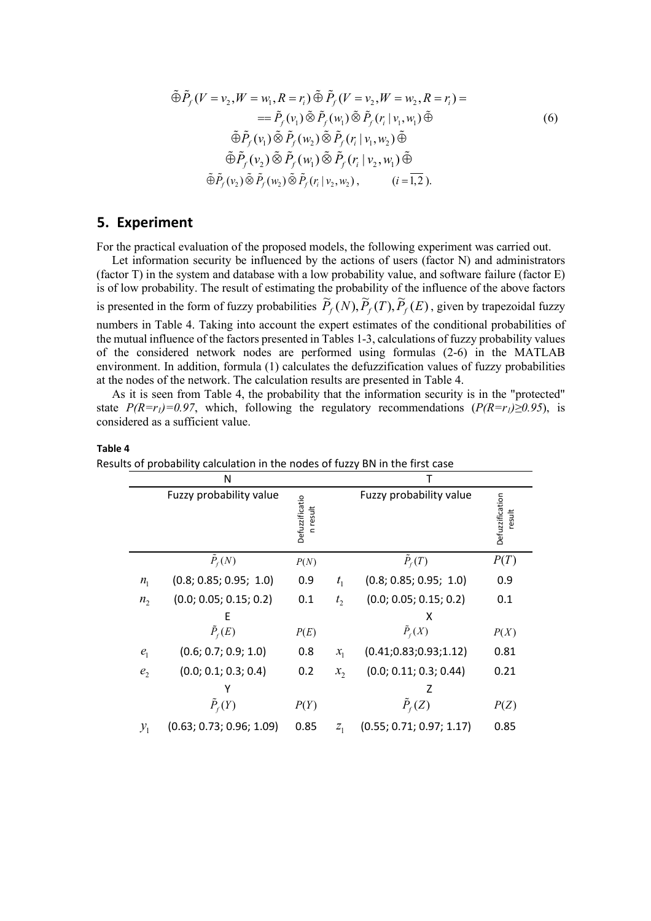$$
\tilde{\oplus}\tilde{P}_f(V=v_2,W=w_1,R=r_i)\tilde{\oplus}\tilde{P}_f(V=v_2,W=w_2,R=r_i)=
$$
\n
$$
=\tilde{P}_f(v_1)\tilde{\otimes}\tilde{P}_f(w_1)\tilde{\otimes}\tilde{P}_f(r_i|v_1,w_1)\tilde{\oplus}
$$
\n
$$
\tilde{\oplus}\tilde{P}_f(v_1)\tilde{\otimes}\tilde{P}_f(w_2)\tilde{\otimes}\tilde{P}_f(r_i|v_1,w_2)\tilde{\oplus}
$$
\n
$$
\tilde{\oplus}\tilde{P}_f(v_2)\tilde{\otimes}\tilde{P}_f(w_1)\tilde{\otimes}\tilde{P}_f(r_i|v_2,w_1)\tilde{\oplus}
$$
\n
$$
\tilde{\oplus}\tilde{P}_f(v_2)\tilde{\otimes}\tilde{P}_f(w_2)\tilde{\otimes}\tilde{P}_f(r_i|v_2,w_2),\qquad (i=\overline{1,2}).
$$
\n(6)

# **5. Experiment**

For the practical evaluation of the proposed models, the following experiment was carried out.

Let information security be influenced by the actions of users (factor N) and administrators (factor T) in the system and database with a low probability value, and software failure (factor E) is of low probability. The result of estimating the probability of the influence of the above factors is presented in the form of fuzzy probabilities  $\tilde{P}_f(N), \tilde{P}_f(T), \tilde{P}_f(E)$ , given by trapezoidal fuzzy numbers in Table 4. Taking into account the expert estimates of the conditional probabilities of the mutual influence of the factors presented in Tables 1-3, calculations of fuzzy probability values of the considered network nodes are performed using formulas (2-6) in the MATLAB environment. In addition, formula (1) calculates the defuzzification values of fuzzy probabilities at the nodes of the network. The calculation results are presented in Table 4.

As it is seen from Table 4, the probability that the information security is in the "protected" state  $P(R=r_1)=0.97$ , which, following the regulatory recommendations  $(P(R=r_1)\geq 0.95)$ , is considered as a sufficient value.

#### **Table 4**

|                 | Ν                        |                                   |                |                          |                           |
|-----------------|--------------------------|-----------------------------------|----------------|--------------------------|---------------------------|
|                 | Fuzzy probability value  | <b>Defuzzificatio</b><br>n result |                | Fuzzy probability value  | Defuzzification<br>result |
|                 | $\tilde{P}_f(N)$         | P(N)                              |                | $\tilde{P}_f(T)$         | P(T)                      |
| $n_{1}$         | (0.8; 0.85; 0.95; 1.0)   | 0.9                               | $t_{1}$        | (0.8; 0.85; 0.95; 1.0)   | 0.9                       |
| $n_{2}$         | (0.0; 0.05; 0.15; 0.2)   | 0.1                               | t <sub>2</sub> | (0.0; 0.05; 0.15; 0.2)   | 0.1                       |
|                 | F                        |                                   |                | х                        |                           |
|                 | $\tilde{P}_f(E)$         | P(E)                              |                | $\tilde{P}_f(X)$         | P(X)                      |
| $e_{1}$         | (0.6; 0.7; 0.9; 1.0)     | 0.8                               | $x_{1}$        | (0.41; 0.83; 0.93; 1.12) | 0.81                      |
| e <sub>2</sub>  | (0.0; 0.1; 0.3; 0.4)     | 0.2                               | $x_{2}$        | (0.0; 0.11; 0.3; 0.44)   | 0.21                      |
|                 |                          |                                   |                | Z                        |                           |
|                 | $\tilde{P}_f(Y)$         | P(Y)                              |                | $\tilde{P}_f(Z)$         | P(Z)                      |
| $\mathcal{Y}_1$ | (0.63; 0.73; 0.96; 1.09) | 0.85                              | $Z_1$          | (0.55; 0.71; 0.97; 1.17) | 0.85                      |

Results of probability calculation in the nodes of fuzzy BN in the first case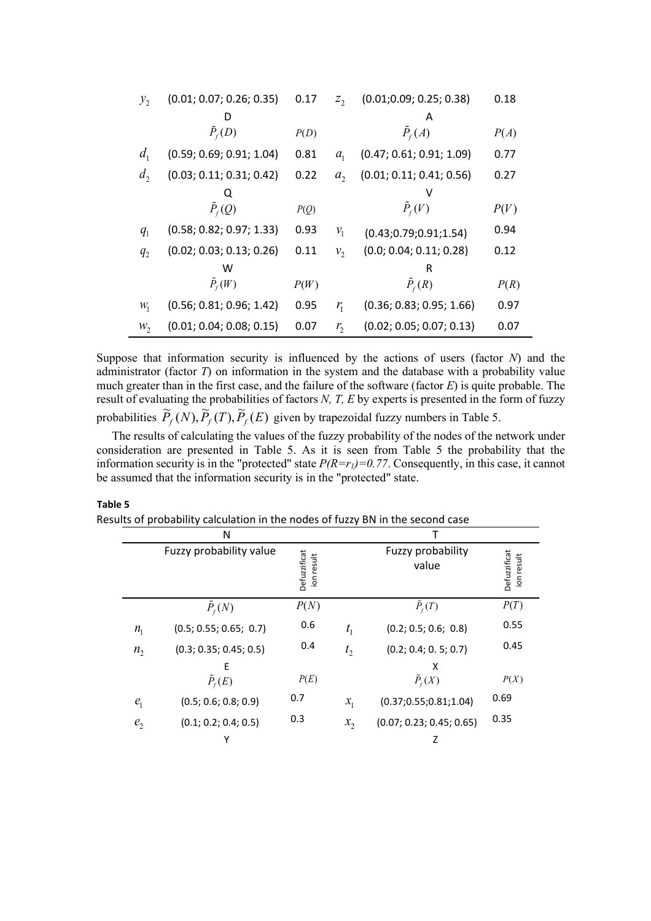| $y_{2}$        | (0.01; 0.07; 0.26; 0.35) | 0.17 | $Z_{2}$        | (0.01; 0.09; 0.25; 0.38) | 0.18 |
|----------------|--------------------------|------|----------------|--------------------------|------|
|                |                          |      |                | А                        |      |
|                | $\tilde{P}_{f}(D)$       | P(D) |                | $\tilde{P}_f(A)$         | P(A) |
| d <sub>1</sub> | (0.59; 0.69; 0.91; 1.04) | 0.81 | a <sub>1</sub> | (0.47; 0.61; 0.91; 1.09) | 0.77 |
| d <sub>2</sub> | (0.03; 0.11; 0.31; 0.42) | 0.22 | a <sub>2</sub> | (0.01; 0.11; 0.41; 0.56) | 0.27 |
|                |                          |      |                |                          |      |
|                | $\tilde{P}_f(Q)$         | P(Q) |                | $P_f(V)$                 | P(V) |
| $q_{1}$        | (0.58; 0.82; 0.97; 1.33) | 0.93 | $v_{1}$        | (0.43; 0.79; 0.91; 1.54) | 0.94 |
| $q_{2}$        | (0.02; 0.03; 0.13; 0.26) | 0.11 | $v_{2}$        | (0.0; 0.04; 0.11; 0.28)  | 0.12 |
|                | w                        |      |                | R                        |      |
|                | $\tilde{P}_{f}(W)$       | P(W) |                | $\tilde{P}_f(R)$         | P(R) |
| $W_1$          | (0.56; 0.81; 0.96; 1.42) | 0.95 | $r_{1}$        | (0.36; 0.83; 0.95; 1.66) | 0.97 |
| $W_2$          | (0.01; 0.04; 0.08; 0.15) | 0.07 | $r_{2}$        | (0.02; 0.05; 0.07; 0.13) | 0.07 |

Suppose that information security is influenced by the actions of users (factor *N*) and the administrator (factor *T*) on information in the system and the database with a probability value much greater than in the first case, and the failure of the software (factor *E*) is quite probable. The result of evaluating the probabilities of factors *N, T, E* by experts is presented in the form of fuzzy probabilities  $\tilde{P}_f(N), \tilde{P}_f(T), \tilde{P}_f(E)$  given by trapezoidal fuzzy numbers in Table 5.

The results of calculating the values of the fuzzy probability of the nodes of the network under consideration are presented in Table 5. As it is seen from Table 5 the probability that the information security is in the "protected" state  $P(R=r_1)=0.77$ . Consequently, in this case, it cannot be assumed that the information security is in the "protected" state.

|                | N                       |                            |                |                            |                            |
|----------------|-------------------------|----------------------------|----------------|----------------------------|----------------------------|
|                | Fuzzy probability value | Defuzzificat<br>ion result |                | Fuzzy probability<br>value | Defuzzificat<br>ion result |
|                | $P_f(N)$                | P(N)                       |                | $\tilde{P}_f(T)$           | P(T)                       |
| $n_{1}$        | (0.5; 0.55; 0.65; 0.7)  | 0.6                        | $t_{1}$        | (0.2; 0.5; 0.6; 0.8)       | 0.55                       |
| $n_{2}$        | (0.3; 0.35; 0.45; 0.5)  | 0.4                        | t <sub>2</sub> | (0.2; 0.4; 0.5; 0.7)       | 0.45                       |
|                | Е                       |                            |                | x                          |                            |
|                | $\tilde{P}_f(E)$        | P(E)                       |                | $\tilde{P}_f(X)$           | P(X)                       |
| e <sub>1</sub> | (0.5; 0.6; 0.8; 0.9)    | 0.7                        | $x_1$          | (0.37; 0.55; 0.81; 1.04)   | 0.69                       |
| e <sub>2</sub> | (0.1; 0.2; 0.4; 0.5)    | 0.3                        | $x_2$          | (0.07; 0.23; 0.45; 0.65)   | 0.35                       |
|                | γ                       |                            |                | Z                          |                            |

### **Table 5**

Results of probability calculation in the nodes of fuzzy BN in the second case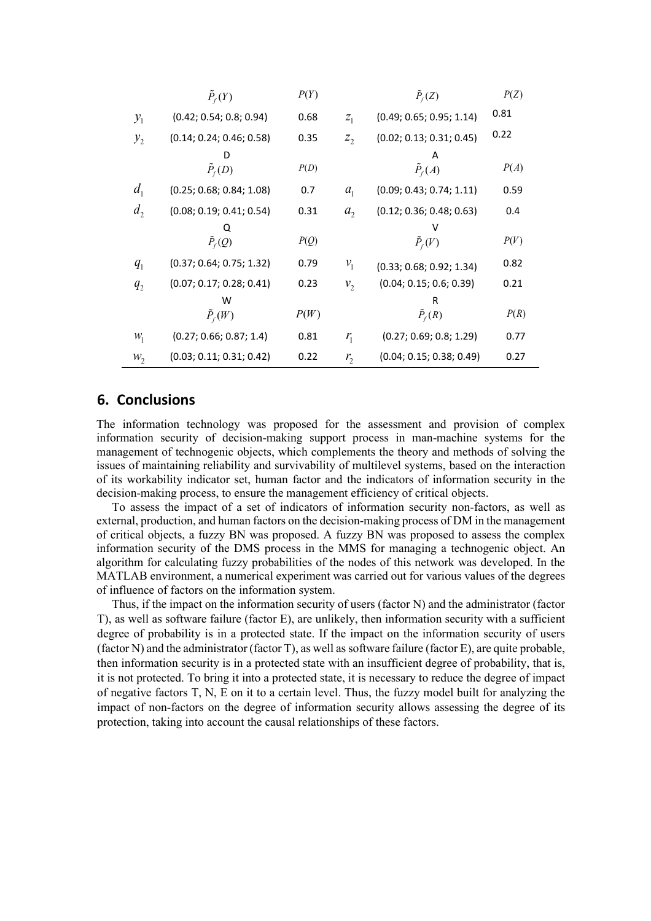|                 | $\tilde{P}_f(Y)$         | P(Y) |                | $\tilde{P}_f(Z)$         | P(Z) |
|-----------------|--------------------------|------|----------------|--------------------------|------|
| $\mathcal{Y}_1$ | (0.42; 0.54; 0.8; 0.94)  | 0.68 | $Z_1$          | (0.49; 0.65; 0.95; 1.14) | 0.81 |
| $y_{2}$         | (0.14; 0.24; 0.46; 0.58) | 0.35 | $z_{2}$        | (0.02; 0.13; 0.31; 0.45) | 0.22 |
|                 |                          |      |                |                          |      |
|                 | $\tilde{P}_f(D)$         | P(D) |                | $\tilde{P}_f(A)$         | P(A) |
| d <sub>1</sub>  | (0.25; 0.68; 0.84; 1.08) | 0.7  | a <sub>1</sub> | (0.09; 0.43; 0.74; 1.11) | 0.59 |
| d <sub>2</sub>  | (0.08; 0.19; 0.41; 0.54) | 0.31 | a <sub>2</sub> | (0.12; 0.36; 0.48; 0.63) | 0.4  |
|                 |                          |      |                |                          |      |
|                 | $\tilde{P}_f(Q)$         | P(Q) |                | $\tilde{P}_f(V)$         | P(V) |
| $q_{1}$         | (0.37; 0.64; 0.75; 1.32) | 0.79 | $v_{1}$        | (0.33; 0.68; 0.92; 1.34) | 0.82 |
| $q_{2}$         | (0.07; 0.17; 0.28; 0.41) | 0.23 | $v_{2}$        | (0.04; 0.15; 0.6; 0.39)  | 0.21 |
|                 | w                        |      |                |                          |      |
|                 | $\tilde{P}_{f}(W)$       | P(W) |                | $\tilde{P}_f(R)$         | P(R) |
| $W_1$           | (0.27; 0.66; 0.87; 1.4)  | 0.81 | $r_{1}$        | (0.27; 0.69; 0.8; 1.29)  | 0.77 |
| $W_2$           | (0.03; 0.11; 0.31; 0.42) | 0.22 | $r_{2}$        | (0.04; 0.15; 0.38; 0.49) | 0.27 |

# **6. Conclusions**

The information technology was proposed for the assessment and provision of complex information security of decision-making support process in man-machine systems for the management of technogenic objects, which complements the theory and methods of solving the issues of maintaining reliability and survivability of multilevel systems, based on the interaction of its workability indicator set, human factor and the indicators of information security in the decision-making process, to ensure the management efficiency of critical objects.

To assess the impact of a set of indicators of information security non-factors, as well as external, production, and human factors on the decision-making process of DM in the management of critical objects, a fuzzy BN was proposed. A fuzzy BN was proposed to assess the complex information security of the DMS process in the MMS for managing a technogenic object. An algorithm for calculating fuzzy probabilities of the nodes of this network was developed. In the MATLAB environment, a numerical experiment was carried out for various values of the degrees of influence of factors on the information system.

Thus, if the impact on the information security of users (factor N) and the administrator (factor T), as well as software failure (factor E), are unlikely, then information security with a sufficient degree of probability is in a protected state. If the impact on the information security of users (factor N) and the administrator (factor T), as well as software failure (factor E), are quite probable, then information security is in a protected state with an insufficient degree of probability, that is, it is not protected. To bring it into a protected state, it is necessary to reduce the degree of impact of negative factors T, N, E on it to a certain level. Thus, the fuzzy model built for analyzing the impact of non-factors on the degree of information security allows assessing the degree of its protection, taking into account the causal relationships of these factors.